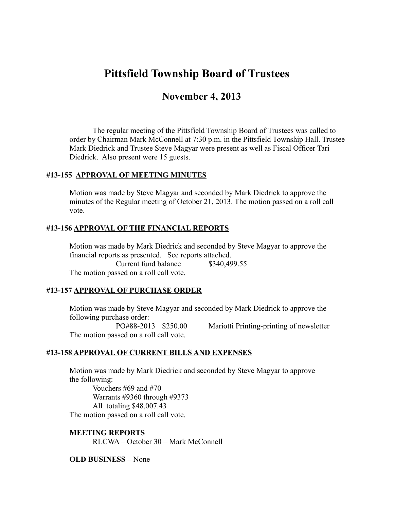# **Pittsfield Township Board of Trustees**

# **November 4, 2013**

The regular meeting of the Pittsfield Township Board of Trustees was called to order by Chairman Mark McConnell at 7:30 p.m. in the Pittsfield Township Hall. Trustee Mark Diedrick and Trustee Steve Magyar were present as well as Fiscal Officer Tari Diedrick. Also present were 15 guests.

#### **#13-155 APPROVAL OF MEETING MINUTES**

Motion was made by Steve Magyar and seconded by Mark Diedrick to approve the minutes of the Regular meeting of October 21, 2013. The motion passed on a roll call vote.

#### **#13-156 APPROVAL OF THE FINANCIAL REPORTS**

Motion was made by Mark Diedrick and seconded by Steve Magyar to approve the financial reports as presented. See reports attached.

Current fund balance \$340,499.55

The motion passed on a roll call vote.

#### **#13-157 APPROVAL OF PURCHASE ORDER**

Motion was made by Steve Magyar and seconded by Mark Diedrick to approve the following purchase order: PO#88-2013 \$250.00 Mariotti Printing-printing of newsletter The motion passed on a roll call vote.

#### **#13-158 APPROVAL OF CURRENT BILLS AND EXPENSES**

Motion was made by Mark Diedrick and seconded by Steve Magyar to approve the following: Vouchers #69 and #70

Warrants #9360 through #9373 All totaling \$48,007.43 The motion passed on a roll call vote.

**MEETING REPORTS**

RLCWA – October 30 – Mark McConnell

#### **OLD BUSINESS –** None